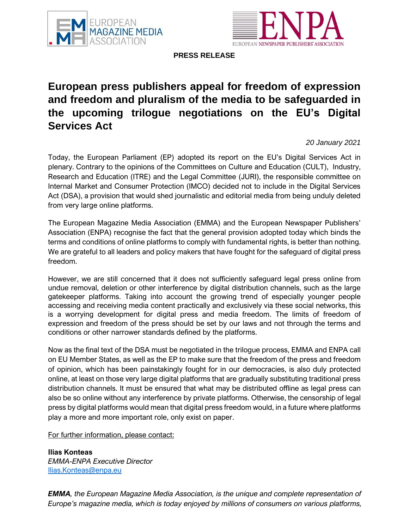



**PRESS RELEASE**

## **European press publishers appeal for freedom of expression and freedom and pluralism of the media to be safeguarded in the upcoming trilogue negotiations on the EU's Digital Services Act**

*20 January 2021*

Today, the European Parliament (EP) adopted its report on the EU's Digital Services Act in plenary. Contrary to the opinions of the Committees on Culture and Education (CULT), Industry, Research and Education (ITRE) and the Legal Committee (JURI), the responsible committee on Internal Market and Consumer Protection (IMCO) decided not to include in the Digital Services Act (DSA), a provision that would shed journalistic and editorial media from being unduly deleted from very large online platforms.

The European Magazine Media Association (EMMA) and the European Newspaper Publishers' Association (ENPA) recognise the fact that the general provision adopted today which binds the terms and conditions of online platforms to comply with fundamental rights, is better than nothing. We are grateful to all leaders and policy makers that have fought for the safeguard of digital press freedom.

However, we are still concerned that it does not sufficiently safeguard legal press online from undue removal, deletion or other interference by digital distribution channels, such as the large gatekeeper platforms. Taking into account the growing trend of especially younger people accessing and receiving media content practically and exclusively via these social networks, this is a worrying development for digital press and media freedom. The limits of freedom of expression and freedom of the press should be set by our laws and not through the terms and conditions or other narrower standards defined by the platforms.

Now as the final text of the DSA must be negotiated in the trilogue process, EMMA and ENPA call on EU Member States, as well as the EP to make sure that the freedom of the press and freedom of opinion, which has been painstakingly fought for in our democracies, is also duly protected online, at least on those very large digital platforms that are gradually substituting traditional press distribution channels. It must be ensured that what may be distributed offline as legal press can also be so online without any interference by private platforms. Otherwise, the censorship of legal press by digital platforms would mean that digital press freedom would, in a future where platforms play a more and more important role, only exist on paper.

For further information, please contact:

**Ilias Konteas** *EMMA-ENPA Executive Director* [Ilias.Konteas@enpa.eu](mailto:Ilias.Konteas@enpa.eu)

*EMMA, the European Magazine Media Association, is the unique and complete representation of Europe's magazine media, which is today enjoyed by millions of consumers on various platforms,*